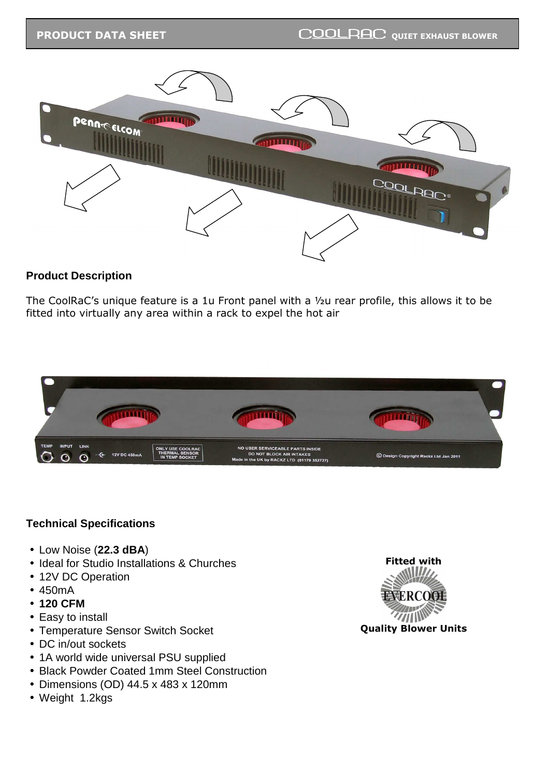

## **Product Description**

The CoolRaC's unique feature is a 1u Front panel with a ½u rear profile, this allows it to be fitted into virtually any area within a rack to expel the hot air



## **Technical Specifications**

- Low Noise (**22.3 dBA**)
- Ideal for Studio Installations & Churches
- 12V DC Operation
- 450mA
- **120 CFM**
- Easy to install
- Temperature Sensor Switch Socket
- DC in/out sockets
- 1A world wide universal PSU supplied
- Black Powder Coated 1mm Steel Construction
- Dimensions (OD) 44.5 x 483 x 120mm
- Weight 1.2kgs